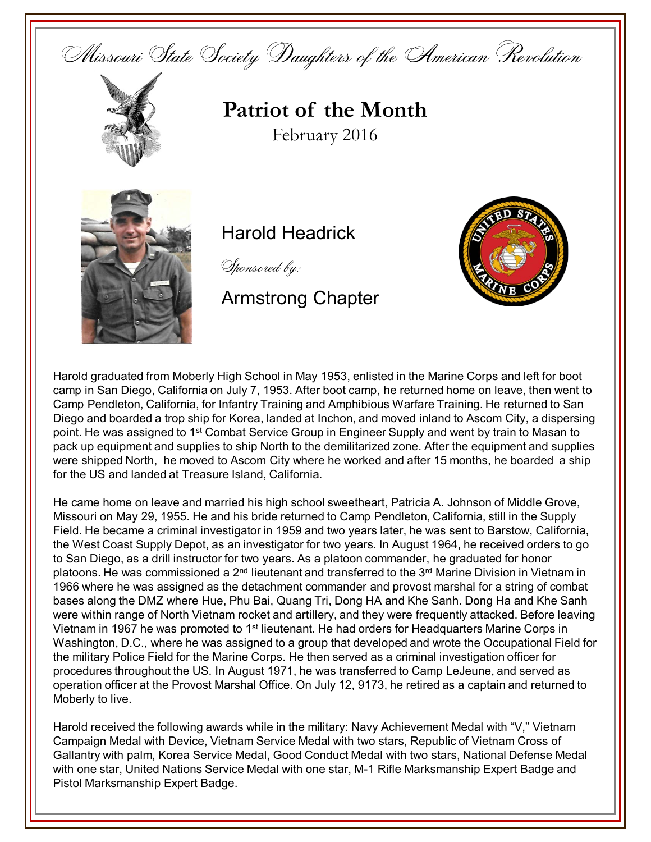



## **Patriot of the Month** February 2016



## Harold Headrick

Sponsored by:

Armstrong Chapter



Harold graduated from Moberly High School in May 1953, enlisted in the Marine Corps and left for boot camp in San Diego, California on July 7, 1953. After boot camp, he returned home on leave, then went to Camp Pendleton, California, for Infantry Training and Amphibious Warfare Training. He returned to San Diego and boarded a trop ship for Korea, landed at Inchon, and moved inland to Ascom City, a dispersing point. He was assigned to 1<sup>st</sup> Combat Service Group in Engineer Supply and went by train to Masan to pack up equipment and supplies to ship North to the demilitarized zone. After the equipment and supplies were shipped North, he moved to Ascom City where he worked and after 15 months, he boarded a ship for the US and landed at Treasure Island, California.

He came home on leave and married his high school sweetheart, Patricia A. Johnson of Middle Grove, Missouri on May 29, 1955. He and his bride returned to Camp Pendleton, California, still in the Supply Field. He became a criminal investigator in 1959 and two years later, he was sent to Barstow, California, the West Coast Supply Depot, as an investigator for two years. In August 1964, he received orders to go to San Diego, as a drill instructor for two years. As a platoon commander, he graduated for honor platoons. He was commissioned a 2nd lieutenant and transferred to the 3rd Marine Division in Vietnam in 1966 where he was assigned as the detachment commander and provost marshal for a string of combat bases along the DMZ where Hue, Phu Bai, Quang Tri, Dong HA and Khe Sanh. Dong Ha and Khe Sanh were within range of North Vietnam rocket and artillery, and they were frequently attacked. Before leaving Vietnam in 1967 he was promoted to 1<sup>st</sup> lieutenant. He had orders for Headquarters Marine Corps in Washington, D.C., where he was assigned to a group that developed and wrote the Occupational Field for the military Police Field for the Marine Corps. He then served as a criminal investigation officer for procedures throughout the US. In August 1971, he was transferred to Camp LeJeune, and served as operation officer at the Provost Marshal Office. On July 12, 9173, he retired as a captain and returned to Moberly to live.

Harold received the following awards while in the military: Navy Achievement Medal with "V," Vietnam Campaign Medal with Device, Vietnam Service Medal with two stars, Republic of Vietnam Cross of Gallantry with palm, Korea Service Medal, Good Conduct Medal with two stars, National Defense Medal with one star, United Nations Service Medal with one star, M-1 Rifle Marksmanship Expert Badge and Pistol Marksmanship Expert Badge.